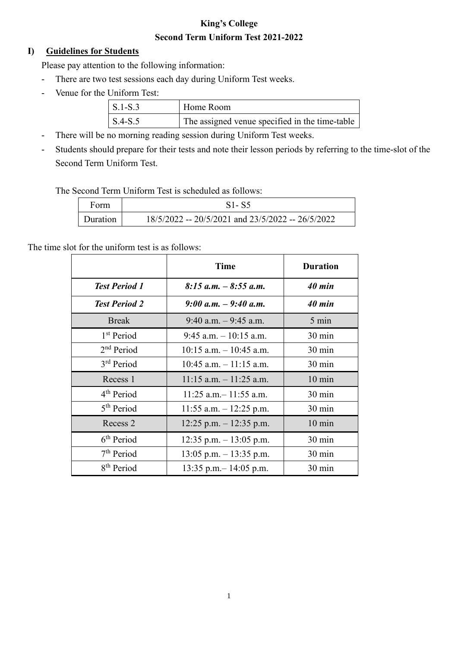# **King's College Second Term Uniform Test 2021-2022**

## **I) Guidelines for Students**

Please pay attention to the following information:

- There are two test sessions each day during Uniform Test weeks.
- Venue for the Uniform Test:

| $\vert$ S.1-S.3 | Home Room                                      |
|-----------------|------------------------------------------------|
| $\vert$ S.4-S.5 | The assigned venue specified in the time-table |

- There will be no morning reading session during Uniform Test weeks.
- Students should prepare for their tests and note their lesson periods by referring to the time-slot of the Second Term Uniform Test.

The Second Term Uniform Test is scheduled as follows:

| Form     | $S1-S5$                                           |  |
|----------|---------------------------------------------------|--|
| Duration | 18/5/2022 -- 20/5/2021 and 23/5/2022 -- 26/5/2022 |  |

The time slot for the uniform test is as follows:

|                        | <b>Time</b>                | <b>Duration</b>  |
|------------------------|----------------------------|------------------|
| <b>Test Period 1</b>   | $8:15$ a.m. $-8:55$ a.m.   | 40 min           |
| <b>Test Period 2</b>   | 9:00 a.m. $-$ 9:40 a.m.    | 40 min           |
| <b>Break</b>           | $9:40$ a.m. $-9:45$ a.m.   | $5 \text{ min}$  |
| 1 <sup>st</sup> Period | $9:45$ a.m. $-10:15$ a.m.  | $30 \text{ min}$ |
| 2 <sup>nd</sup> Period | $10:15$ a.m. $-10:45$ a.m. | $30 \text{ min}$ |
| 3 <sup>rd</sup> Period | $10:45$ a.m. $-11:15$ a.m. | $30 \text{ min}$ |
| Recess 1               | $11:15$ a.m. $-11:25$ a.m. | $10 \text{ min}$ |
| 4 <sup>th</sup> Period | $11:25$ a.m. - 11:55 a.m.  | $30 \text{ min}$ |
| 5 <sup>th</sup> Period | 11:55 a.m. $-$ 12:25 p.m.  | $30 \text{ min}$ |
| Recess 2               | $12:25$ p.m. $-12:35$ p.m. | $10 \text{ min}$ |
| 6 <sup>th</sup> Period | 12:35 p.m. $-13:05$ p.m.   | $30 \text{ min}$ |
| 7 <sup>th</sup> Period | $13:05$ p.m. $-13:35$ p.m. | $30 \text{ min}$ |
| 8 <sup>th</sup> Period | 13:35 p.m. $-$ 14:05 p.m.  | 30 min           |